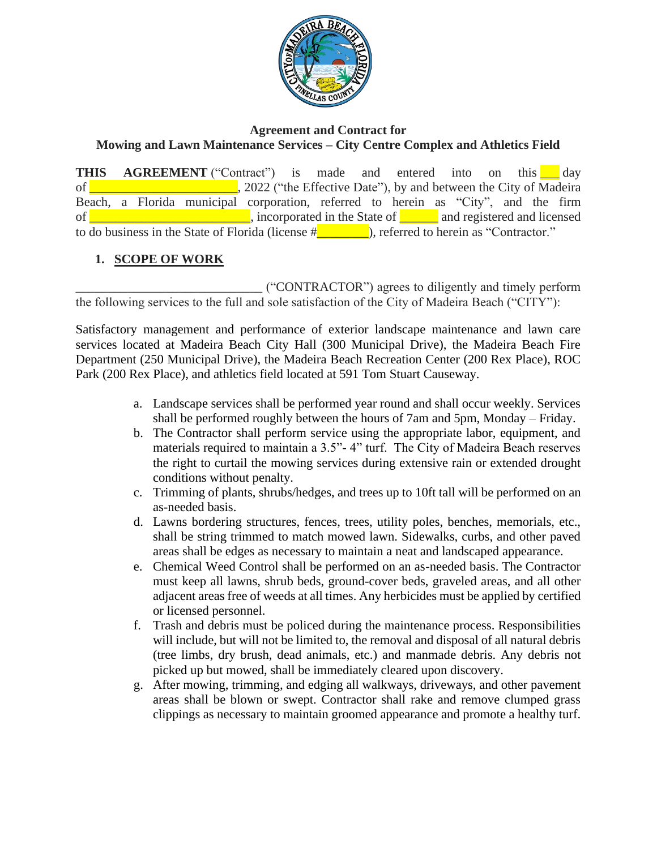

#### **Agreement and Contract for Mowing and Lawn Maintenance Services – City Centre Complex and Athletics Field**

**THIS AGREEMENT** ("Contract") is made and entered into on this day of **William Common Common Common Common Common Common Common Common Common Common Common Common Common Common Common Common Common Common Common Common Common Common Common Common Common Common Common Common Common Common** Beach, a Florida municipal corporation, referred to herein as "City", and the firm of **of all and registered and licensed**, incorporated in the State of **a** and registered and licensed to do business in the State of Florida (license  $\frac{d}{dx}$  ), referred to herein as "Contractor."

## **1. SCOPE OF WORK**

\_\_\_\_\_\_\_\_\_\_\_\_\_\_\_\_\_\_\_\_\_\_\_\_\_\_\_\_\_ ("CONTRACTOR") agrees to diligently and timely perform the following services to the full and sole satisfaction of the City of Madeira Beach ("CITY"):

Satisfactory management and performance of exterior landscape maintenance and lawn care services located at Madeira Beach City Hall (300 Municipal Drive), the Madeira Beach Fire Department (250 Municipal Drive), the Madeira Beach Recreation Center (200 Rex Place), ROC Park (200 Rex Place), and athletics field located at 591 Tom Stuart Causeway.

- a. Landscape services shall be performed year round and shall occur weekly. Services shall be performed roughly between the hours of 7am and 5pm, Monday – Friday.
- b. The Contractor shall perform service using the appropriate labor, equipment, and materials required to maintain a 3.5"- 4" turf. The City of Madeira Beach reserves the right to curtail the mowing services during extensive rain or extended drought conditions without penalty.
- c. Trimming of plants, shrubs/hedges, and trees up to 10ft tall will be performed on an as-needed basis.
- d. Lawns bordering structures, fences, trees, utility poles, benches, memorials, etc., shall be string trimmed to match mowed lawn. Sidewalks, curbs, and other paved areas shall be edges as necessary to maintain a neat and landscaped appearance.
- e. Chemical Weed Control shall be performed on an as-needed basis. The Contractor must keep all lawns, shrub beds, ground-cover beds, graveled areas, and all other adjacent areas free of weeds at all times. Any herbicides must be applied by certified or licensed personnel.
- f. Trash and debris must be policed during the maintenance process. Responsibilities will include, but will not be limited to, the removal and disposal of all natural debris (tree limbs, dry brush, dead animals, etc.) and manmade debris. Any debris not picked up but mowed, shall be immediately cleared upon discovery.
- g. After mowing, trimming, and edging all walkways, driveways, and other pavement areas shall be blown or swept. Contractor shall rake and remove clumped grass clippings as necessary to maintain groomed appearance and promote a healthy turf.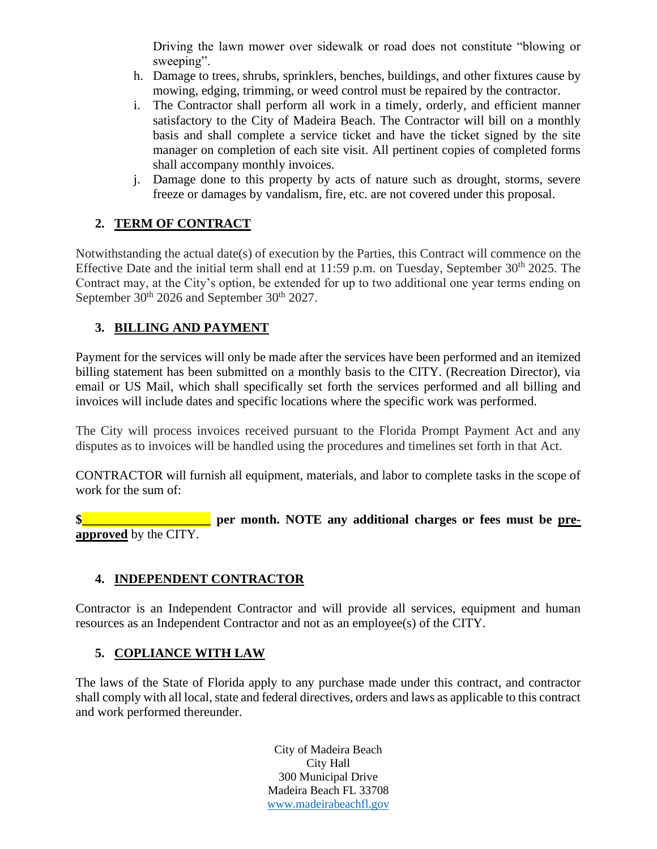Driving the lawn mower over sidewalk or road does not constitute "blowing or sweeping".

- h. Damage to trees, shrubs, sprinklers, benches, buildings, and other fixtures cause by mowing, edging, trimming, or weed control must be repaired by the contractor.
- i. The Contractor shall perform all work in a timely, orderly, and efficient manner satisfactory to the City of Madeira Beach. The Contractor will bill on a monthly basis and shall complete a service ticket and have the ticket signed by the site manager on completion of each site visit. All pertinent copies of completed forms shall accompany monthly invoices.
- j. Damage done to this property by acts of nature such as drought, storms, severe freeze or damages by vandalism, fire, etc. are not covered under this proposal.

# **2. TERM OF CONTRACT**

Notwithstanding the actual date(s) of execution by the Parties, this Contract will commence on the Effective Date and the initial term shall end at  $11:59$  p.m. on Tuesday, September  $30<sup>th</sup> 2025$ . The Contract may, at the City's option, be extended for up to two additional one year terms ending on September 30<sup>th</sup> 2026 and September 30<sup>th</sup> 2027.

## **3. BILLING AND PAYMENT**

Payment for the services will only be made after the services have been performed and an itemized billing statement has been submitted on a monthly basis to the CITY. (Recreation Director), via email or US Mail, which shall specifically set forth the services performed and all billing and invoices will include dates and specific locations where the specific work was performed.

The City will process invoices received pursuant to the Florida Prompt Payment Act and any disputes as to invoices will be handled using the procedures and timelines set forth in that Act.

CONTRACTOR will furnish all equipment, materials, and labor to complete tasks in the scope of work for the sum of:

**\$ \$ per month.** NOTE any additional charges or fees must be pre**approved** by the CITY.

### **4. INDEPENDENT CONTRACTOR**

Contractor is an Independent Contractor and will provide all services, equipment and human resources as an Independent Contractor and not as an employee(s) of the CITY.

### **5. COPLIANCE WITH LAW**

The laws of the State of Florida apply to any purchase made under this contract, and contractor shall comply with all local, state and federal directives, orders and laws as applicable to this contract and work performed thereunder.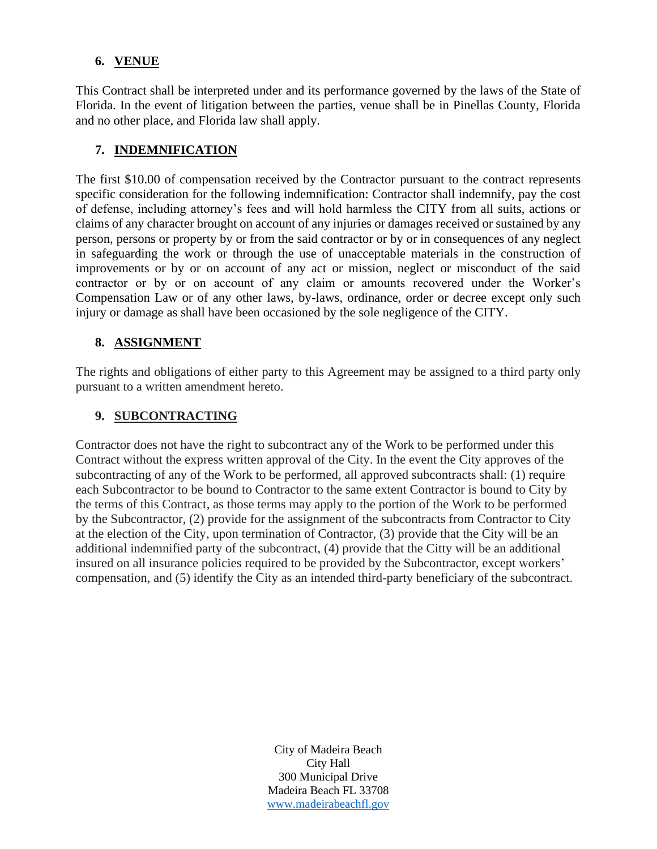### **6. VENUE**

This Contract shall be interpreted under and its performance governed by the laws of the State of Florida. In the event of litigation between the parties, venue shall be in Pinellas County, Florida and no other place, and Florida law shall apply.

### **7. INDEMNIFICATION**

The first \$10.00 of compensation received by the Contractor pursuant to the contract represents specific consideration for the following indemnification: Contractor shall indemnify, pay the cost of defense, including attorney's fees and will hold harmless the CITY from all suits, actions or claims of any character brought on account of any injuries or damages received or sustained by any person, persons or property by or from the said contractor or by or in consequences of any neglect in safeguarding the work or through the use of unacceptable materials in the construction of improvements or by or on account of any act or mission, neglect or misconduct of the said contractor or by or on account of any claim or amounts recovered under the Worker's Compensation Law or of any other laws, by-laws, ordinance, order or decree except only such injury or damage as shall have been occasioned by the sole negligence of the CITY.

### **8. ASSIGNMENT**

The rights and obligations of either party to this Agreement may be assigned to a third party only pursuant to a written amendment hereto.

#### **9. SUBCONTRACTING**

Contractor does not have the right to subcontract any of the Work to be performed under this Contract without the express written approval of the City. In the event the City approves of the subcontracting of any of the Work to be performed, all approved subcontracts shall: (1) require each Subcontractor to be bound to Contractor to the same extent Contractor is bound to City by the terms of this Contract, as those terms may apply to the portion of the Work to be performed by the Subcontractor, (2) provide for the assignment of the subcontracts from Contractor to City at the election of the City, upon termination of Contractor, (3) provide that the City will be an additional indemnified party of the subcontract, (4) provide that the Citty will be an additional insured on all insurance policies required to be provided by the Subcontractor, except workers' compensation, and (5) identify the City as an intended third-party beneficiary of the subcontract.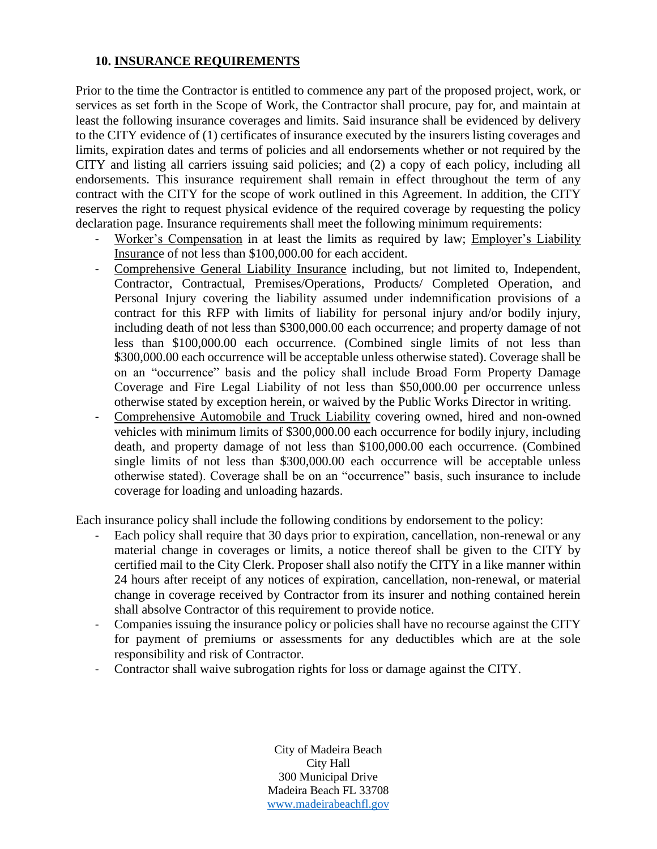#### **10. INSURANCE REQUIREMENTS**

Prior to the time the Contractor is entitled to commence any part of the proposed project, work, or services as set forth in the Scope of Work, the Contractor shall procure, pay for, and maintain at least the following insurance coverages and limits. Said insurance shall be evidenced by delivery to the CITY evidence of (1) certificates of insurance executed by the insurers listing coverages and limits, expiration dates and terms of policies and all endorsements whether or not required by the CITY and listing all carriers issuing said policies; and (2) a copy of each policy, including all endorsements. This insurance requirement shall remain in effect throughout the term of any contract with the CITY for the scope of work outlined in this Agreement. In addition, the CITY reserves the right to request physical evidence of the required coverage by requesting the policy declaration page. Insurance requirements shall meet the following minimum requirements:

- Worker's Compensation in at least the limits as required by law; Employer's Liability Insurance of not less than \$100,000.00 for each accident.
- Comprehensive General Liability Insurance including, but not limited to, Independent, Contractor, Contractual, Premises/Operations, Products/ Completed Operation, and Personal Injury covering the liability assumed under indemnification provisions of a contract for this RFP with limits of liability for personal injury and/or bodily injury, including death of not less than \$300,000.00 each occurrence; and property damage of not less than \$100,000.00 each occurrence. (Combined single limits of not less than \$300,000.00 each occurrence will be acceptable unless otherwise stated). Coverage shall be on an "occurrence" basis and the policy shall include Broad Form Property Damage Coverage and Fire Legal Liability of not less than \$50,000.00 per occurrence unless otherwise stated by exception herein, or waived by the Public Works Director in writing.
- Comprehensive Automobile and Truck Liability covering owned, hired and non-owned vehicles with minimum limits of \$300,000.00 each occurrence for bodily injury, including death, and property damage of not less than \$100,000.00 each occurrence. (Combined single limits of not less than \$300,000.00 each occurrence will be acceptable unless otherwise stated). Coverage shall be on an "occurrence" basis, such insurance to include coverage for loading and unloading hazards.

Each insurance policy shall include the following conditions by endorsement to the policy:

- Each policy shall require that 30 days prior to expiration, cancellation, non-renewal or any material change in coverages or limits, a notice thereof shall be given to the CITY by certified mail to the City Clerk. Proposer shall also notify the CITY in a like manner within 24 hours after receipt of any notices of expiration, cancellation, non-renewal, or material change in coverage received by Contractor from its insurer and nothing contained herein shall absolve Contractor of this requirement to provide notice.
- Companies issuing the insurance policy or policies shall have no recourse against the CITY for payment of premiums or assessments for any deductibles which are at the sole responsibility and risk of Contractor.
- Contractor shall waive subrogation rights for loss or damage against the CITY.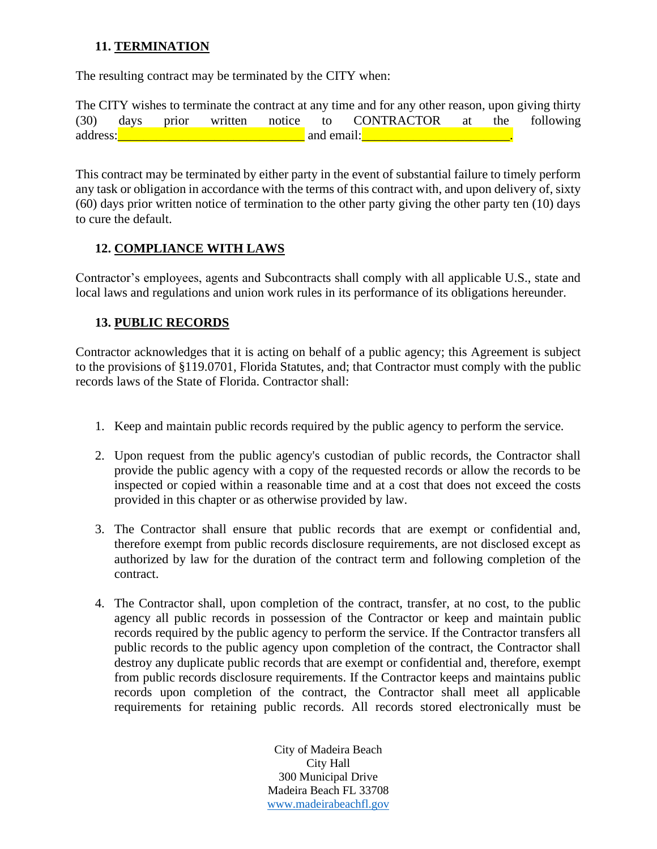### **11. TERMINATION**

The resulting contract may be terminated by the CITY when:

The CITY wishes to terminate the contract at any time and for any other reason, upon giving thirty (30) days prior written notice to CONTRACTOR at the following address: and the same of the same of the same of the same of the same of the same of the same of the same of the same of the same of the same of the same of the same of the same of the same of the same of the same of the s

This contract may be terminated by either party in the event of substantial failure to timely perform any task or obligation in accordance with the terms of this contract with, and upon delivery of, sixty (60) days prior written notice of termination to the other party giving the other party ten (10) days to cure the default.

### **12. COMPLIANCE WITH LAWS**

Contractor's employees, agents and Subcontracts shall comply with all applicable U.S., state and local laws and regulations and union work rules in its performance of its obligations hereunder.

### **13. PUBLIC RECORDS**

Contractor acknowledges that it is acting on behalf of a public agency; this Agreement is subject to the provisions of §119.0701, Florida Statutes, and; that Contractor must comply with the public records laws of the State of Florida. Contractor shall:

- 1. Keep and maintain public records required by the public agency to perform the service.
- 2. Upon request from the public agency's custodian of public records, the Contractor shall provide the public agency with a copy of the requested records or allow the records to be inspected or copied within a reasonable time and at a cost that does not exceed the costs provided in this chapter or as otherwise provided by law.
- 3. The Contractor shall ensure that public records that are exempt or confidential and, therefore exempt from public records disclosure requirements, are not disclosed except as authorized by law for the duration of the contract term and following completion of the contract.
- 4. The Contractor shall, upon completion of the contract, transfer, at no cost, to the public agency all public records in possession of the Contractor or keep and maintain public records required by the public agency to perform the service. If the Contractor transfers all public records to the public agency upon completion of the contract, the Contractor shall destroy any duplicate public records that are exempt or confidential and, therefore, exempt from public records disclosure requirements. If the Contractor keeps and maintains public records upon completion of the contract, the Contractor shall meet all applicable requirements for retaining public records. All records stored electronically must be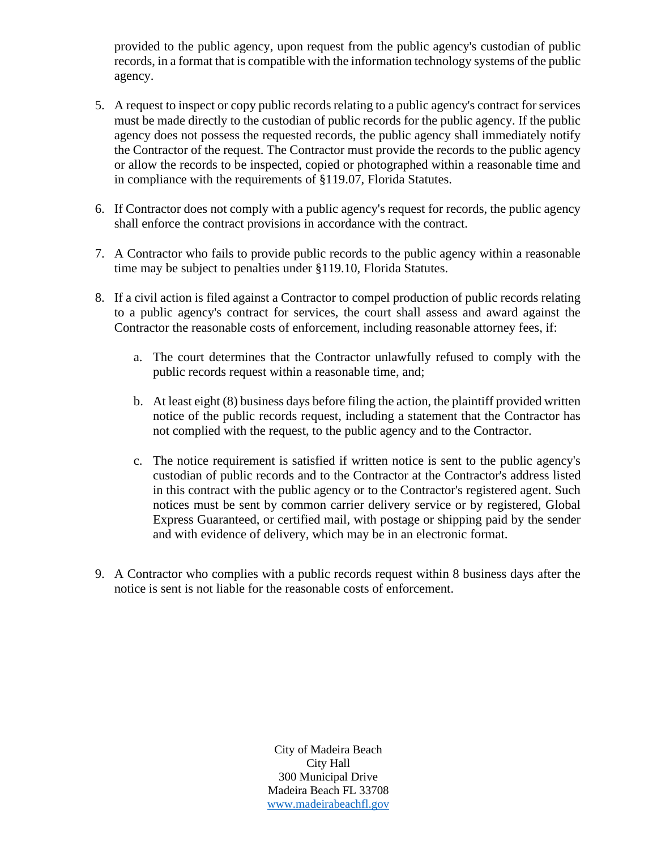provided to the public agency, upon request from the public agency's custodian of public records, in a format that is compatible with the information technology systems of the public agency.

- 5. A request to inspect or copy public records relating to a public agency's contract for services must be made directly to the custodian of public records for the public agency. If the public agency does not possess the requested records, the public agency shall immediately notify the Contractor of the request. The Contractor must provide the records to the public agency or allow the records to be inspected, copied or photographed within a reasonable time and in compliance with the requirements of §119.07, Florida Statutes.
- 6. If Contractor does not comply with a public agency's request for records, the public agency shall enforce the contract provisions in accordance with the contract.
- 7. A Contractor who fails to provide public records to the public agency within a reasonable time may be subject to penalties under §119.10, Florida Statutes.
- 8. If a civil action is filed against a Contractor to compel production of public records relating to a public agency's contract for services, the court shall assess and award against the Contractor the reasonable costs of enforcement, including reasonable attorney fees, if:
	- a. The court determines that the Contractor unlawfully refused to comply with the public records request within a reasonable time, and;
	- b. At least eight (8) business days before filing the action, the plaintiff provided written notice of the public records request, including a statement that the Contractor has not complied with the request, to the public agency and to the Contractor.
	- c. The notice requirement is satisfied if written notice is sent to the public agency's custodian of public records and to the Contractor at the Contractor's address listed in this contract with the public agency or to the Contractor's registered agent. Such notices must be sent by common carrier delivery service or by registered, Global Express Guaranteed, or certified mail, with postage or shipping paid by the sender and with evidence of delivery, which may be in an electronic format.
- 9. A Contractor who complies with a public records request within 8 business days after the notice is sent is not liable for the reasonable costs of enforcement.